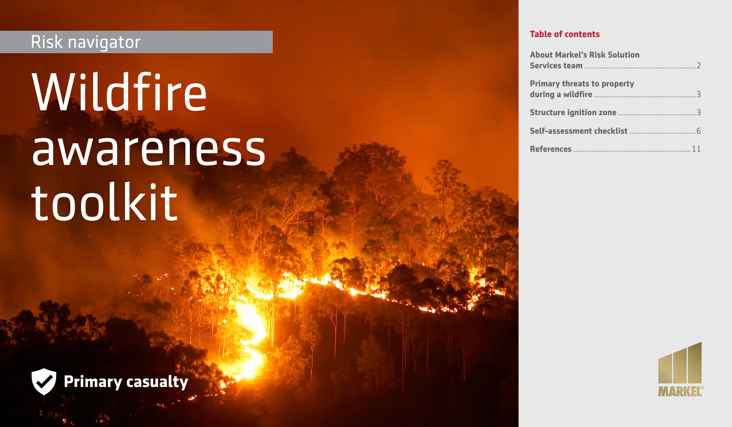## Risk navigator

# Wildfire awareness toolkit



| <b>About Markel's Risk Solution</b> |
|-------------------------------------|
| <b>Primary threats to property</b>  |
|                                     |
|                                     |
|                                     |



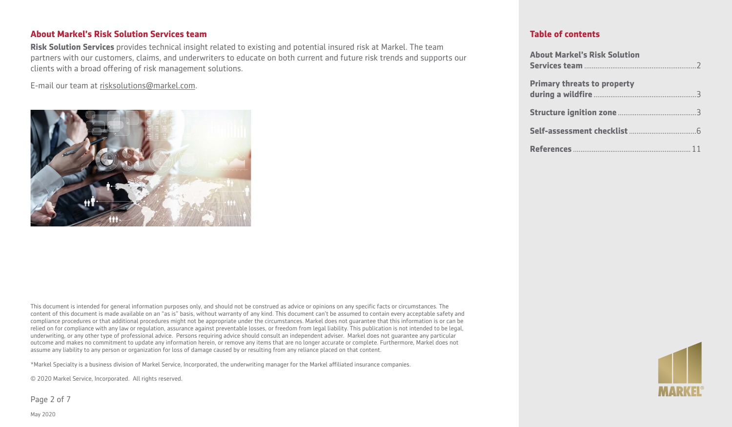#### **About Markel's Risk Solution Services team**

**Risk Solution Services** provides technical insight related to existing and potential insured risk at Markel. The team partners with our customers, claims, and underwriters to educate on both current and future risk trends and supports our clients with a broad offering of risk management solutions.

E-mail our team at [risksolutions@markel.com](mailto:risksolutions@markel.com).



This document is intended for general information purposes only, and should not be construed as advice or opinions on any specific facts or circumstances. The content of this document is made available on an "as is" basis, without warranty of any kind. This document can't be assumed to contain every acceptable safety and compliance procedures or that additional procedures might not be appropriate under the circumstances. Markel does not guarantee that this information is or can be relied on for compliance with any law or regulation, assurance against preventable losses, or freedom from legal liability. This publication is not intended to be legal, underwriting, or any other type of professional advice. Persons requiring advice should consult an independent adviser. Markel does not guarantee any particular outcome and makes no commitment to update any information herein, or remove any items that are no longer accurate or complete. Furthermore, Markel does not assume any liability to any person or organization for loss of damage caused by or resulting from any reliance placed on that content.

\*Markel Specialty is a business division of Markel Service, Incorporated, the underwriting manager for the Markel affiliated insurance companies.

© 2020 Markel Service, Incorporated. All rights reserved.

Page 2 of 7

| <b>About Markel's Risk Solution</b> |  |
|-------------------------------------|--|
| <b>Primary threats to property</b>  |  |
|                                     |  |
|                                     |  |
|                                     |  |

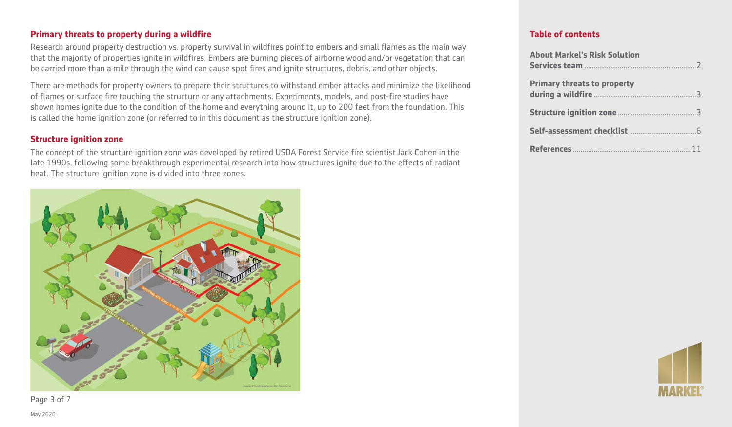#### **Primary threats to property during a wildfire**

Research around property destruction vs. property survival in wildfires point to embers and small flames as the main way that the majority of properties ignite in wildfires. Embers are burning pieces of airborne wood and/or vegetation that can be carried more than a mile through the wind can cause spot fires and ignite structures, debris, and other objects.

There are methods for property owners to prepare their structures to withstand ember attacks and minimize the likelihood of flames or surface fire touching the structure or any attachments. Experiments, models, and post-fire studies have shown homes ignite due to the condition of the home and everything around it, up to 200 feet from the foundation. This is called the home ignition zone (or referred to in this document as the structure ignition zone).

#### **Structure ignition zone**

The concept of the structure ignition zone was developed by retired USDA Forest Service fire scientist Jack Cohen in the late 1990s, following some breakthrough experimental research into how structures ignite due to the effects of radiant heat. The structure ignition zone is divided into three zones.



| <b>About Markel's Risk Solution</b> |  |
|-------------------------------------|--|
| <b>Primary threats to property</b>  |  |
|                                     |  |
|                                     |  |
|                                     |  |



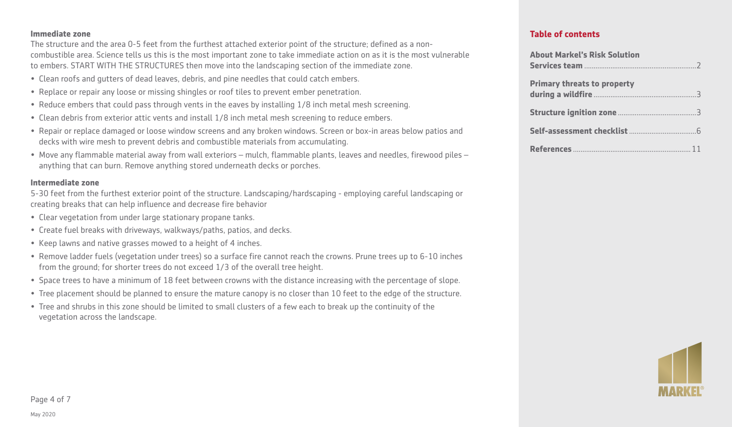#### **Immediate zone**

The structure and the area 0-5 feet from the furthest attached exterior point of the structure; defined as a noncombustible area. Science tells us this is the most important zone to take immediate action on as it is the most vulnerable to embers. START WITH THE STRUCTURES then move into the landscaping section of the immediate zone.

- Clean roofs and gutters of dead leaves, debris, and pine needles that could catch embers.
- Replace or repair any loose or missing shingles or roof tiles to prevent ember penetration.
- Reduce embers that could pass through vents in the eaves by installing 1/8 inch metal mesh screening.
- Clean debris from exterior attic vents and install 1/8 inch metal mesh screening to reduce embers.
- Repair or replace damaged or loose window screens and any broken windows. Screen or box-in areas below patios and decks with wire mesh to prevent debris and combustible materials from accumulating.
- Move any flammable material away from wall exteriors mulch, flammable plants, leaves and needles, firewood piles anything that can burn. Remove anything stored underneath decks or porches.

#### **Intermediate zone**

5-30 feet from the furthest exterior point of the structure. Landscaping/hardscaping - employing careful landscaping or creating breaks that can help influence and decrease fire behavior

- Clear vegetation from under large stationary propane tanks.
- Create fuel breaks with driveways, walkways/paths, patios, and decks.
- Keep lawns and native grasses mowed to a height of 4 inches.
- Remove ladder fuels (vegetation under trees) so a surface fire cannot reach the crowns. Prune trees up to 6-10 inches from the ground; for shorter trees do not exceed 1/3 of the overall tree height.
- Space trees to have a minimum of 18 feet between crowns with the distance increasing with the percentage of slope.
- Tree placement should be planned to ensure the mature canopy is no closer than 10 feet to the edge of the structure.
- Tree and shrubs in this zone should be limited to small clusters of a few each to break up the continuity of the vegetation across the landscape.

| <b>About Markel's Risk Solution</b> |  |
|-------------------------------------|--|
|                                     |  |
| <b>Primary threats to property</b>  |  |
|                                     |  |
|                                     |  |
|                                     |  |
|                                     |  |

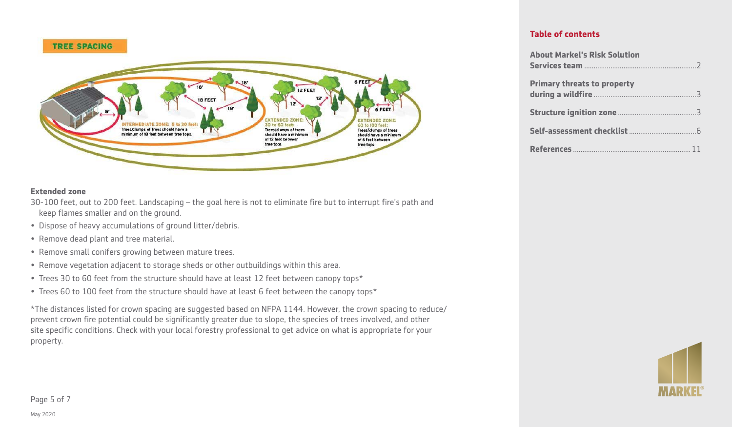

#### **Extended zone**

30-100 feet, out to 200 feet. Landscaping – the goal here is not to eliminate fire but to interrupt fire's path and keep flames smaller and on the ground.

- Dispose of heavy accumulations of ground litter/debris.
- Remove dead plant and tree material.
- Remove small conifers growing between mature trees.
- Remove vegetation adjacent to storage sheds or other outbuildings within this area.
- Trees 30 to 60 feet from the structure should have at least 12 feet between canopy tops\*
- Trees 60 to 100 feet from the structure should have at least 6 feet between the canopy tops\*

\*The distances listed for crown spacing are suggested based on NFPA 1144. However, the crown spacing to reduce/ prevent crown fire potential could be significantly greater due to slope, the species of trees involved, and other site specific conditions. Check with your local forestry professional to get advice on what is appropriate for your property.

| <b>About Markel's Risk Solution</b> |  |
|-------------------------------------|--|
|                                     |  |
| <b>Primary threats to property</b>  |  |
|                                     |  |
|                                     |  |
|                                     |  |
|                                     |  |

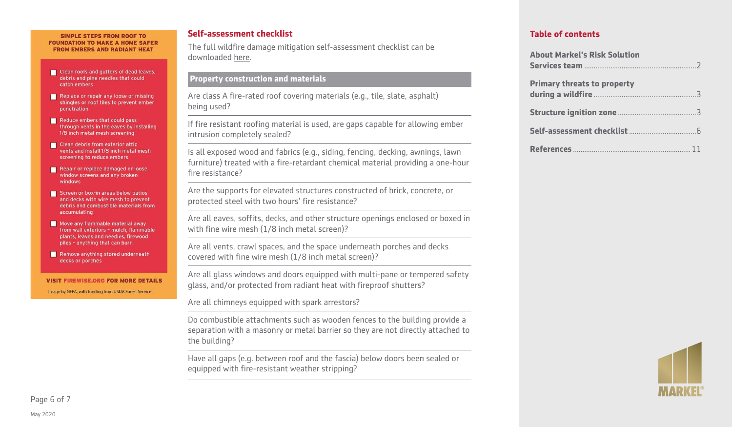#### SIMPLE STEPS FROM ROOF TO **FOUNDATION TO MAKE A HOME SAFER FROM EMBERS AND RADIANT HEAT**

- Clean roofs and gutters of dead leaves, debris and pine needles that could catch embers
- Replace or repair any loose or missing shingles or roof tiles to prevent ember **penetration**
- Reduce embers that could pass through vents in the eaves by installing 1/8 inch metal mesh screening
- Clean debris from exterior attic vents and install 1/8 inch metal mesh screening to reduce embers
- Repair or replace damaged or loose window screens and any broken windows
- Screen or box-in areas below patios and decks with wire mesh to prevent debris and combustible materials from accumulating
- Move any flammable material away from wall exteriors - mulch, flammable plants, leaves and needles, firewood piles - anything that can burn
- Remove anything stored underneath decks or porches

**VISIT FIREWISE.ORG FOR MORE DETAILS** Image by NFPA, with funding from USDA Forest Service

#### **Self-assessment checklist**

The full wildfire damage mitigation self-assessment checklist can be downloaded [here.](https://p.widencdn.net/dommfl/Wildfire-damage-mitigation-self-assessment-checklist)

#### **Property construction and materials**

Are class A fire-rated roof covering materials (e.g., tile, slate, asphalt) being used?

If fire resistant roofing material is used, are gaps capable for allowing ember intrusion completely sealed?

Is all exposed wood and fabrics (e.g., siding, fencing, decking, awnings, lawn furniture) treated with a fire-retardant chemical material providing a one-hour fire resistance?

Are the supports for elevated structures constructed of brick, concrete, or protected steel with two hours' fire resistance?

Are all eaves, soffits, decks, and other structure openings enclosed or boxed in with fine wire mesh (1/8 inch metal screen)?

Are all vents, crawl spaces, and the space underneath porches and decks covered with fine wire mesh (1/8 inch metal screen)?

Are all glass windows and doors equipped with multi-pane or tempered safety glass, and/or protected from radiant heat with fireproof shutters?

Are all chimneys equipped with spark arrestors?

Do combustible attachments such as wooden fences to the building provide a separation with a masonry or metal barrier so they are not directly attached to the building?

Have all gaps (e.g. between roof and the fascia) below doors been sealed or equipped with fire-resistant weather stripping?

| <b>About Markel's Risk Solution</b> |
|-------------------------------------|
| <b>Primary threats to property</b>  |
|                                     |
|                                     |
|                                     |

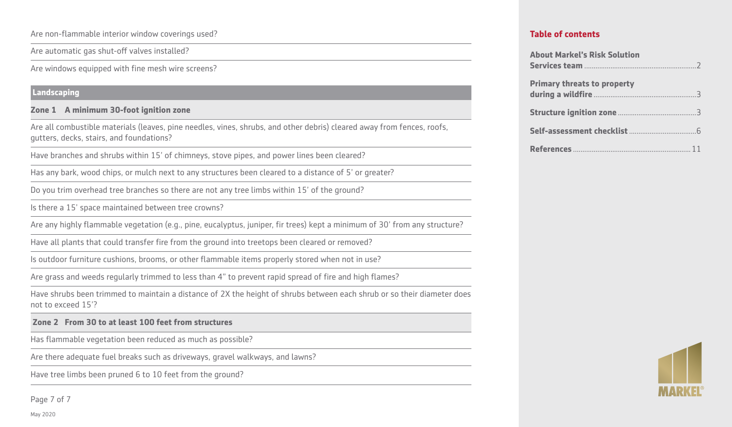Are non-flammable interior window coverings used?

Are automatic gas shut-off valves installed?

Are windows equipped with fine mesh wire screens?

#### **Landscaping**

#### **Zone 1 A minimum 30-foot ignition zone**

Are all combustible materials (leaves, pine needles, vines, shrubs, and other debris) cleared away from fences, roofs, gutters, decks, stairs, and foundations?

Have branches and shrubs within 15' of chimneys, stove pipes, and power lines been cleared?

Has any bark, wood chips, or mulch next to any structures been cleared to a distance of 5' or greater?

Do you trim overhead tree branches so there are not any tree limbs within 15' of the ground?

Is there a 15' space maintained between tree crowns?

Are any highly flammable vegetation (e.g., pine, eucalyptus, juniper, fir trees) kept a minimum of 30' from any structure?

Have all plants that could transfer fire from the ground into treetops been cleared or removed?

Is outdoor furniture cushions, brooms, or other flammable items properly stored when not in use?

Are grass and weeds regularly trimmed to less than 4" to prevent rapid spread of fire and high flames?

Have shrubs been trimmed to maintain a distance of 2X the height of shrubs between each shrub or so their diameter does not to exceed 15'?

#### **Zone 2 From 30 to at least 100 feet from structures**

Has flammable vegetation been reduced as much as possible?

Are there adequate fuel breaks such as driveways, gravel walkways, and lawns?

Have tree limbs been pruned 6 to 10 feet from the ground?

Page 7 of 7

| <b>About Markel's Risk Solution</b> |
|-------------------------------------|
| <b>Primary threats to property</b>  |
|                                     |
|                                     |
|                                     |

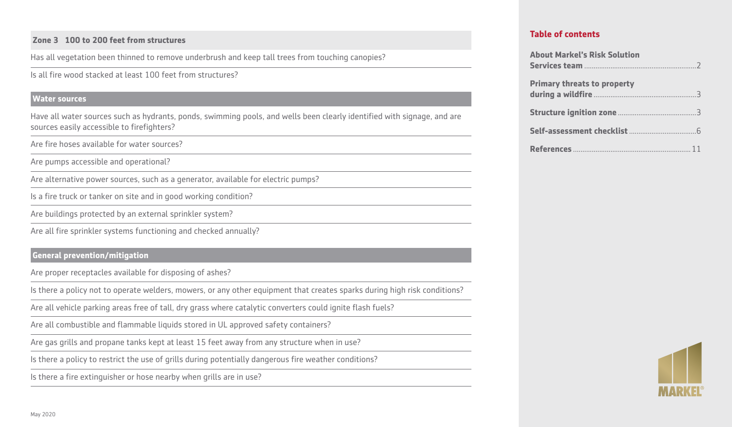#### **Zone 3 100 to 200 feet from structures**

Has all vegetation been thinned to remove underbrush and keep tall trees from touching canopies?

Is all fire wood stacked at least 100 feet from structures?

#### **Water sources**

Have all water sources such as hydrants, ponds, swimming pools, and wells been clearly identified with signage, and are sources easily accessible to firefighters?

Are fire hoses available for water sources?

Are pumps accessible and operational?

Are alternative power sources, such as a generator, available for electric pumps?

Is a fire truck or tanker on site and in good working condition?

Are buildings protected by an external sprinkler system?

Are all fire sprinkler systems functioning and checked annually?

### **General prevention/mitigation**

Are proper receptacles available for disposing of ashes?

Is there a policy not to operate welders, mowers, or any other equipment that creates sparks during high risk conditions?

Are all vehicle parking areas free of tall, dry grass where catalytic converters could ignite flash fuels?

Are all combustible and flammable liquids stored in UL approved safety containers?

Are gas grills and propane tanks kept at least 15 feet away from any structure when in use?

Is there a policy to restrict the use of grills during potentially dangerous fire weather conditions?

Is there a fire extinguisher or hose nearby when grills are in use?

| <b>About Markel's Risk Solution</b> |
|-------------------------------------|
| <b>Primary threats to property</b>  |
|                                     |
|                                     |
|                                     |

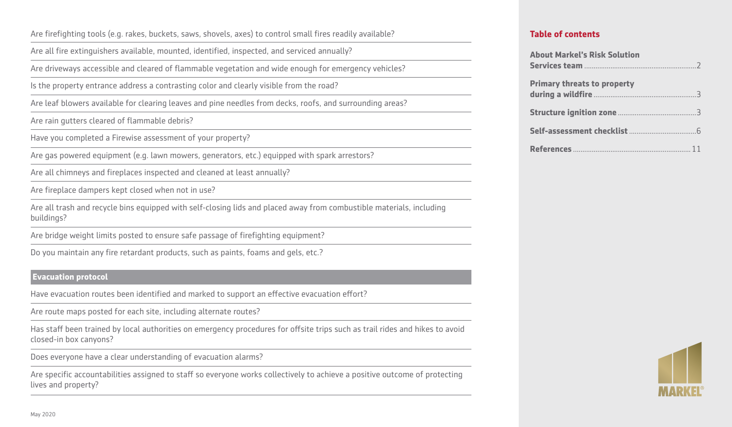Are firefighting tools (e.g. rakes, buckets, saws, shovels, axes) to control small fires readily available?

Are all fire extinguishers available, mounted, identified, inspected, and serviced annually?

Are driveways accessible and cleared of flammable vegetation and wide enough for emergency vehicles?

Is the property entrance address a contrasting color and clearly visible from the road?

Are leaf blowers available for clearing leaves and pine needles from decks, roofs, and surrounding areas?

Are rain gutters cleared of flammable debris?

Have you completed a Firewise assessment of your property?

Are gas powered equipment (e.g. lawn mowers, generators, etc.) equipped with spark arrestors?

Are all chimneys and fireplaces inspected and cleaned at least annually?

Are fireplace dampers kept closed when not in use?

Are all trash and recycle bins equipped with self-closing lids and placed away from combustible materials, including buildings?

Are bridge weight limits posted to ensure safe passage of firefighting equipment?

Do you maintain any fire retardant products, such as paints, foams and gels, etc.?

#### **Evacuation protocol**

Have evacuation routes been identified and marked to support an effective evacuation effort?

Are route maps posted for each site, including alternate routes?

Has staff been trained by local authorities on emergency procedures for offsite trips such as trail rides and hikes to avoid closed-in box canyons?

Does everyone have a clear understanding of evacuation alarms?

Are specific accountabilities assigned to staff so everyone works collectively to achieve a positive outcome of protecting lives and property?

| <b>About Markel's Risk Solution</b> |  |
|-------------------------------------|--|
|                                     |  |
| <b>Primary threats to property</b>  |  |
|                                     |  |
|                                     |  |
|                                     |  |
|                                     |  |

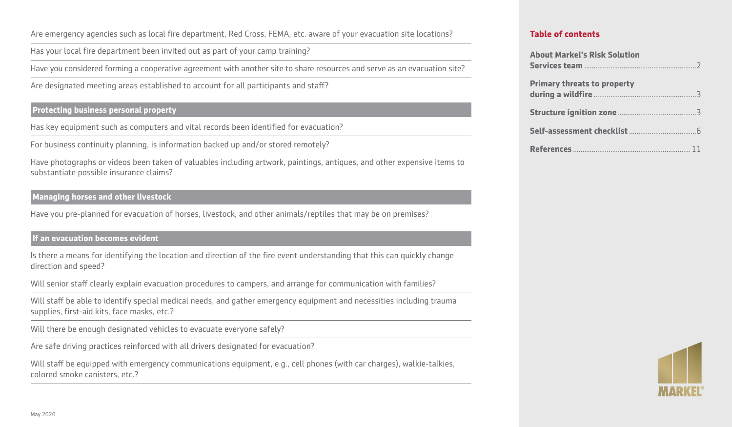Are emergency agencies such as local fire department, Red Cross, FEMA, etc. aware of your evacuation site locations?

Has your local fire department been invited out as part of your camp training?

Have you considered forming a cooperative agreement with another site to share resources and serve as an evacuation site?

Are designated meeting areas established to account for all participants and staff?

#### **Protecting business personal property**

Has key equipment such as computers and vital records been identified for evacuation?

For business continuity planning, is information backed up and/or stored remotely?

Have photographs or videos been taken of valuables including artwork, paintings, antiques, and other expensive items to substantiate possible insurance claims?

#### **Managing horses and other livestock**

Have you pre-planned for evacuation of horses, livestock, and other animals/reptiles that may be on premises?

#### **If an evacuation becomes evident**

Is there a means for identifying the location and direction of the fire event understanding that this can quickly change direction and speed?

Will senior staff clearly explain evacuation procedures to campers, and arrange for communication with families?

Will staff be able to identify special medical needs, and gather emergency equipment and necessities including trauma supplies, first-aid kits, face masks, etc.?

Will there be enough designated vehicles to evacuate everyone safely?

Are safe driving practices reinforced with all drivers designated for evacuation?

Will staff be equipped with emergency communications equipment, e.g., cell phones (with car charges), walkie-talkies, colored smoke canisters, etc.?

| <b>About Markel's Risk Solution</b> |  |
|-------------------------------------|--|
|                                     |  |
| <b>Primary threats to property</b>  |  |
|                                     |  |
|                                     |  |
|                                     |  |
|                                     |  |